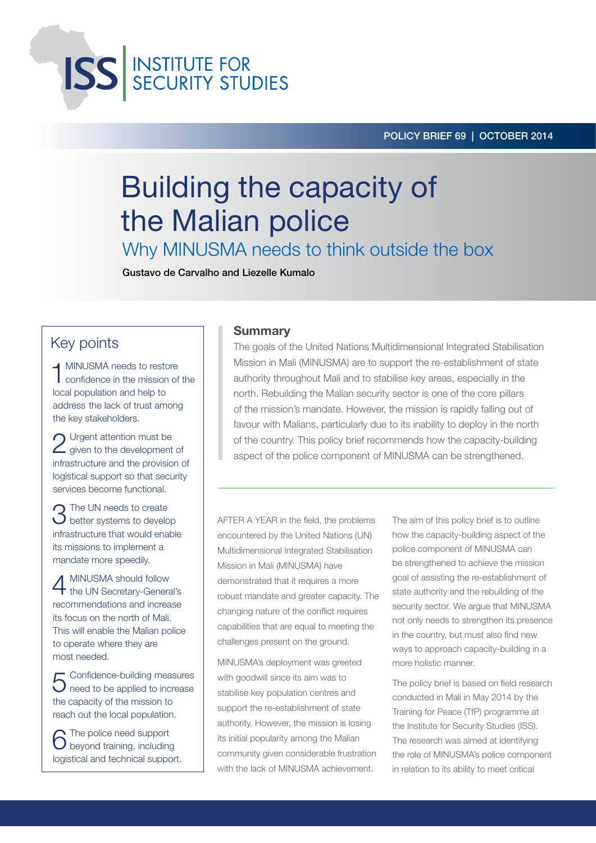**ISS** INSTITUTE FOR

# Building the capacity of the Malian police

Why MINUSMA needs to think outside the box

Gustavo de Carvalho and Liezelle Kumalo

## Key points

1 MINUSMA needs to restore confidence in the mission of the local population and help to address the lack of trust among the key stakeholders.

2 Urgent attention must be<br>2 given to the development of infrastructure and the provision of logistical support so that security services become functional.

3 The UN needs to create<br>3 better systems to develop infrastructure that would enable its missions to implement a mandate more speedily.

4 MINUSMA should follow the UN Secretary-General's recommendations and increase its focus on the north of Mali. This will enable the Malian police to operate where they are most needed.

5 Confidence-building measures  $\bigcup$  need to be applied to increase the capacity of the mission to reach out the local population.

6 The police need support beyond training, including logistical and technical support.

## Summary

The goals of the United Nations Multidimensional Integrated Stabilisation Mission in Mali (MINUSMA) are to support the re-establishment of state authority throughout Mali and to stabilise key areas, especially in the north. Rebuilding the Malian security sector is one of the core pillars of the mission's mandate. However, the mission is rapidly falling out of favour with Malians, particularly due to its inability to deploy in the north of the country. This policy brief recommends how the capacity-building aspect of the police component of MINUSMA can be strengthened.

AFTER A YEAR in the field, the problems encountered by the United Nations (UN) Multidimensional Integrated Stabilisation Mission in Mali (MINUSMA) have demonstrated that it requires a more robust mandate and greater capacity. The changing nature of the conflict requires capabilities that are equal to meeting the challenges present on the ground.

MINUSMA's deployment was greeted with goodwill since its aim was to stabilise key population centres and support the re-establishment of state authority. However, the mission is losing its initial popularity among the Malian community given considerable frustration with the lack of MINUSMA achievement.

The aim of this policy brief is to outline how the capacity-building aspect of the police component of MINUSMA can be strengthened to achieve the mission goal of assisting the re-establishment of state authority and the rebuilding of the security sector. We argue that MINUSMA not only needs to strengthen its presence in the country, but must also find new ways to approach capacity-building in a more holistic manner.

The policy brief is based on field research conducted in Mali in May 2014 by the Training for Peace (TfP) programme at the Institute for Security Studies (ISS). The research was aimed at identifying the role of MINUSMA's police component in relation to its ability to meet critical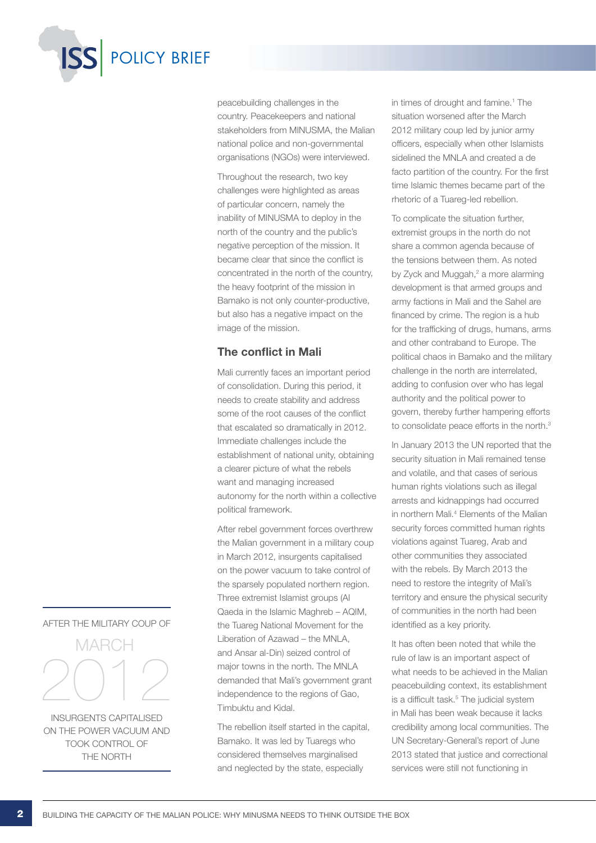

peacebuilding challenges in the country. Peacekeepers and national stakeholders from MINUSMA, the Malian national police and non-governmental organisations (NGOs) were interviewed.

Throughout the research, two key challenges were highlighted as areas of particular concern, namely the inability of MINUSMA to deploy in the north of the country and the public's negative perception of the mission. It became clear that since the conflict is concentrated in the north of the country, the heavy footprint of the mission in Bamako is not only counter-productive, but also has a negative impact on the image of the mission.

## The conflict in Mali

Mali currently faces an important period of consolidation. During this period, it needs to create stability and address some of the root causes of the conflict that escalated so dramatically in 2012. Immediate challenges include the establishment of national unity, obtaining a clearer picture of what the rebels want and managing increased autonomy for the north within a collective political framework.

After rebel government forces overthrew the Malian government in a military coup in March 2012, insurgents capitalised on the power vacuum to take control of the sparsely populated northern region. Three extremist Islamist groups (Al Qaeda in the Islamic Maghreb – AQIM, the Tuareg National Movement for the Liberation of Azawad – the MNLA, and Ansar al-Din) seized control of major towns in the north. The MNLA demanded that Mali's government grant independence to the regions of Gao, Timbuktu and Kidal.

The rebellion itself started in the capital, Bamako. It was led by Tuaregs who considered themselves marginalised and neglected by the state, especially

in times of drought and famine.<sup>1</sup> The situation worsened after the March 2012 military coup led by junior army officers, especially when other Islamists sidelined the MNLA and created a de facto partition of the country. For the first time Islamic themes became part of the rhetoric of a Tuareg-led rebellion.

To complicate the situation further, extremist groups in the north do not share a common agenda because of the tensions between them. As noted by Zyck and Muggah,<sup>2</sup> a more alarming development is that armed groups and army factions in Mali and the Sahel are financed by crime. The region is a hub for the trafficking of drugs, humans, arms and other contraband to Europe. The political chaos in Bamako and the military challenge in the north are interrelated, adding to confusion over who has legal authority and the political power to govern, thereby further hampering efforts to consolidate peace efforts in the north.<sup>3</sup>

In January 2013 the UN reported that the security situation in Mali remained tense and volatile, and that cases of serious human rights violations such as illegal arrests and kidnappings had occurred in northern Mali.4 Elements of the Malian security forces committed human rights violations against Tuareg, Arab and other communities they associated with the rebels. By March 2013 the need to restore the integrity of Mali's territory and ensure the physical security of communities in the north had been identified as a key priority.

It has often been noted that while the rule of law is an important aspect of what needs to be achieved in the Malian peacebuilding context, its establishment is a difficult task.<sup>5</sup> The judicial system in Mali has been weak because it lacks credibility among local communities. The UN Secretary-General's report of June 2013 stated that justice and correctional services were still not functioning in

## after the military coup of



INSURGENTS CAPITALISED ON THE POWER VACUUM AND TOOK CONTROL OF THE NORTH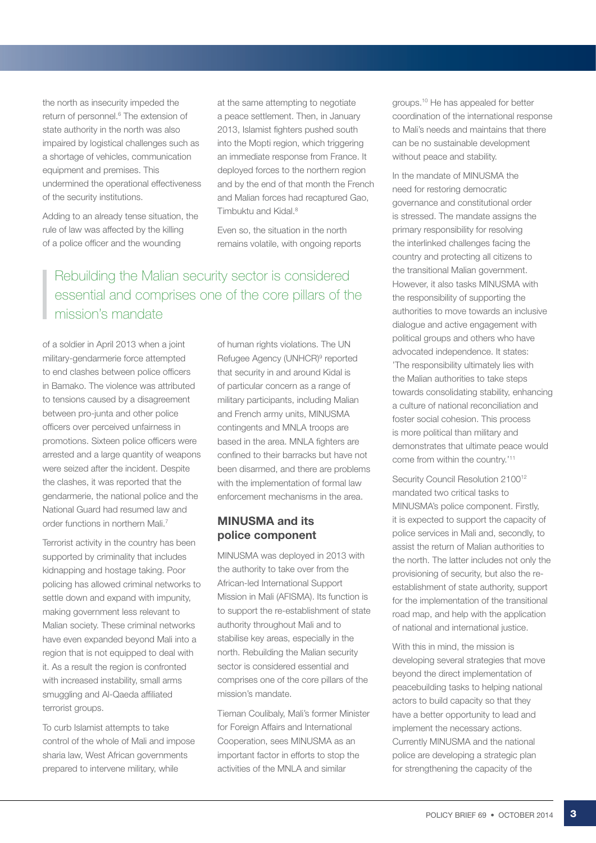the north as insecurity impeded the return of personnel.<sup>6</sup> The extension of state authority in the north was also impaired by logistical challenges such as a shortage of vehicles, communication equipment and premises. This undermined the operational effectiveness of the security institutions.

Adding to an already tense situation, the rule of law was affected by the killing of a police officer and the wounding

at the same attempting to negotiate a peace settlement. Then, in January 2013, Islamist fighters pushed south into the Mopti region, which triggering an immediate response from France. It deployed forces to the northern region and by the end of that month the French and Malian forces had recaptured Gao, Timbuktu and Kidal.8

Even so, the situation in the north remains volatile, with ongoing reports

# Rebuilding the Malian security sector is considered essential and comprises one of the core pillars of the mission's mandate

of a soldier in April 2013 when a joint military-gendarmerie force attempted to end clashes between police officers in Bamako. The violence was attributed to tensions caused by a disagreement between pro-junta and other police officers over perceived unfairness in promotions. Sixteen police officers were arrested and a large quantity of weapons were seized after the incident. Despite the clashes, it was reported that the gendarmerie, the national police and the National Guard had resumed law and order functions in northern Mali.7

Terrorist activity in the country has been supported by criminality that includes kidnapping and hostage taking. Poor policing has allowed criminal networks to settle down and expand with impunity, making government less relevant to Malian society. These criminal networks have even expanded beyond Mali into a region that is not equipped to deal with it. As a result the region is confronted with increased instability, small arms smuggling and Al-Qaeda affiliated terrorist groups.

To curb Islamist attempts to take control of the whole of Mali and impose sharia law, West African governments prepared to intervene military, while

of human rights violations. The UN Refugee Agency (UNHCR)<sup>9</sup> reported that security in and around Kidal is of particular concern as a range of military participants, including Malian and French army units, MINUSMA contingents and MNLA troops are based in the area. MNLA fighters are confined to their barracks but have not been disarmed, and there are problems with the implementation of formal law enforcement mechanisms in the area.

## MINUSMA and its police component

MINUSMA was deployed in 2013 with the authority to take over from the African-led International Support Mission in Mali (AFISMA). Its function is to support the re-establishment of state authority throughout Mali and to stabilise key areas, especially in the north. Rebuilding the Malian security sector is considered essential and comprises one of the core pillars of the mission's mandate.

Tieman Coulibaly, Mali's former Minister for Foreign Affairs and International Cooperation, sees MINUSMA as an important factor in efforts to stop the activities of the MNLA and similar

groups.10 He has appealed for better coordination of the international response to Mali's needs and maintains that there can be no sustainable development without peace and stability.

In the mandate of MINUSMA the need for restoring democratic governance and constitutional order is stressed. The mandate assigns the primary responsibility for resolving the interlinked challenges facing the country and protecting all citizens to the transitional Malian government. However, it also tasks MINUSMA with the responsibility of supporting the authorities to move towards an inclusive dialogue and active engagement with political groups and others who have advocated independence. It states: 'The responsibility ultimately lies with the Malian authorities to take steps towards consolidating stability, enhancing a culture of national reconciliation and foster social cohesion. This process is more political than military and demonstrates that ultimate peace would come from within the country.'11

Security Council Resolution 2100<sup>12</sup> mandated two critical tasks to MINUSMA's police component. Firstly, it is expected to support the capacity of police services in Mali and, secondly, to assist the return of Malian authorities to the north. The latter includes not only the provisioning of security, but also the reestablishment of state authority, support for the implementation of the transitional road map, and help with the application of national and international justice.

With this in mind, the mission is developing several strategies that move beyond the direct implementation of peacebuilding tasks to helping national actors to build capacity so that they have a better opportunity to lead and implement the necessary actions. Currently MINUSMA and the national police are developing a strategic plan for strengthening the capacity of the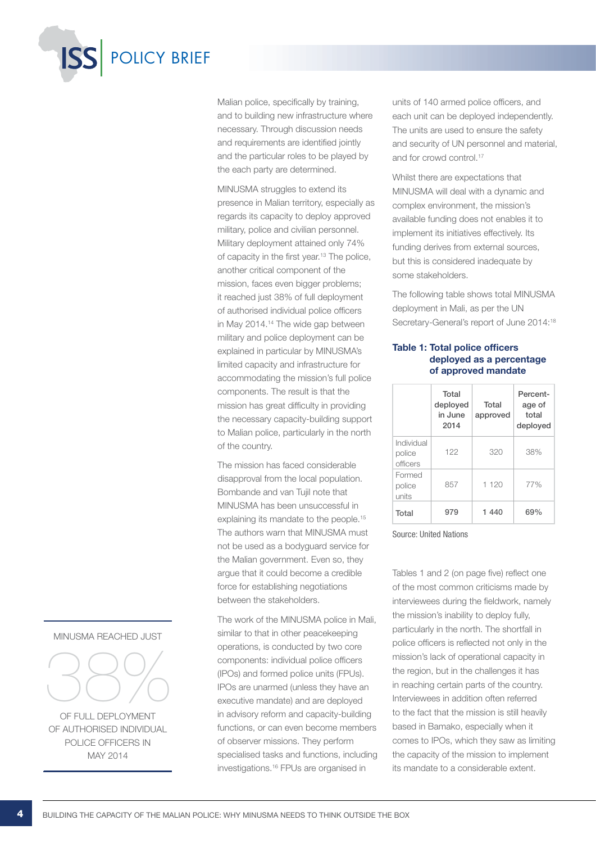

Malian police, specifically by training, and to building new infrastructure where necessary. Through discussion needs and requirements are identified jointly and the particular roles to be played by the each party are determined.

MINUSMA struggles to extend its presence in Malian territory, especially as regards its capacity to deploy approved military, police and civilian personnel. Military deployment attained only 74% of capacity in the first year.13 The police, another critical component of the mission, faces even bigger problems; it reached just 38% of full deployment of authorised individual police officers in May 2014.14 The wide gap between military and police deployment can be explained in particular by MINUSMA's limited capacity and infrastructure for accommodating the mission's full police components. The result is that the mission has great difficulty in providing the necessary capacity-building support to Malian police, particularly in the north of the country.

The mission has faced considerable disapproval from the local population. Bombande and van Tujil note that MINUSMA has been unsuccessful in explaining its mandate to the people.<sup>15</sup> The authors warn that MINUSMA must not be used as a bodyguard service for the Malian government. Even so, they argue that it could become a credible force for establishing negotiations between the stakeholders.

The work of the MINUSMA police in Mali, similar to that in other peacekeeping operations, is conducted by two core components: individual police officers (IPOs) and formed police units (FPUs). IPOs are unarmed (unless they have an executive mandate) and are deployed in advisory reform and capacity-building functions, or can even become members of observer missions. They perform specialised tasks and functions, including investigations.16 FPUs are organised in

units of 140 armed police officers, and each unit can be deployed independently. The units are used to ensure the safety and security of UN personnel and material, and for crowd control.<sup>17</sup>

Whilst there are expectations that MINUSMA will deal with a dynamic and complex environment, the mission's available funding does not enables it to implement its initiatives effectively. Its funding derives from external sources, but this is considered inadequate by some stakeholders.

The following table shows total MINUSMA deployment in Mali, as per the UN Secretary-General's report of June 2014:<sup>18</sup>

#### Table 1: Total police officers deployed as a percentage of approved mandate

|                                  | Total<br>deployed<br>in June<br>2014 | Total<br>approved | Percent-<br>age of<br>total<br>deployed |
|----------------------------------|--------------------------------------|-------------------|-----------------------------------------|
| Individual<br>police<br>officers | 122                                  | 320               | 38%                                     |
| Formed<br>police<br>units        | 857                                  | 1 1 2 0           | 77%                                     |
| Total                            | 979                                  | 1440              | 69%                                     |

#### Source: United Nations

Tables 1 and 2 (on page five) reflect one of the most common criticisms made by interviewees during the fieldwork, namely the mission's inability to deploy fully, particularly in the north. The shortfall in police officers is reflected not only in the mission's lack of operational capacity in the region, but in the challenges it has in reaching certain parts of the country. Interviewees in addition often referred to the fact that the mission is still heavily based in Bamako, especially when it comes to IPOs, which they saw as limiting the capacity of the mission to implement its mandate to a considerable extent.

#### MINUSMA REACHED JUST



of FULL deployment of authorised individual police officers in may 2014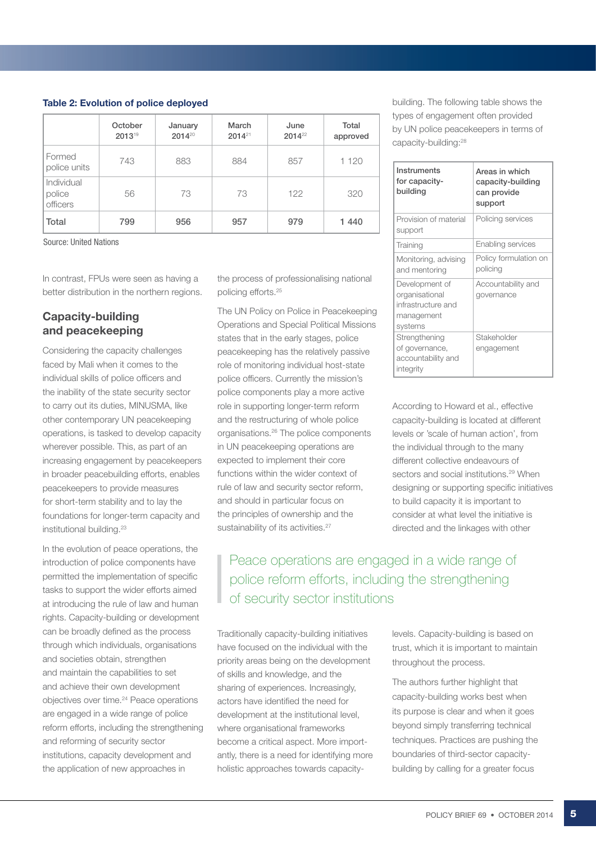#### Table 2: Evolution of police deployed

|                                  | October<br>201319 | January<br>$2014^{20}$ | March<br>$2014^{21}$ | June<br>$2014^{22}$ | Total<br>approved |
|----------------------------------|-------------------|------------------------|----------------------|---------------------|-------------------|
| Formed<br>police units           | 743               | 883                    | 884                  | 857                 | 1 1 2 0           |
| Individual<br>police<br>officers | 56                | 73                     | 73                   | 122                 | 320               |
| Total                            | 799               | 956                    | 957                  | 979                 | 1 440             |

Source: United Nations

In contrast, FPUs were seen as having a better distribution in the northern regions.

## Capacity-building and peacekeeping

Considering the capacity challenges faced by Mali when it comes to the individual skills of police officers and the inability of the state security sector to carry out its duties, MINUSMA, like other contemporary UN peacekeeping operations, is tasked to develop capacity wherever possible. This, as part of an increasing engagement by peacekeepers in broader peacebuilding efforts, enables peacekeepers to provide measures for short-term stability and to lay the foundations for longer-term capacity and institutional building.<sup>23</sup>

In the evolution of peace operations, the introduction of police components have permitted the implementation of specific tasks to support the wider efforts aimed at introducing the rule of law and human rights. Capacity-building or development can be broadly defined as the process through which individuals, organisations and societies obtain, strengthen and maintain the capabilities to set and achieve their own development objectives over time.24 Peace operations are engaged in a wide range of police reform efforts, including the strengthening and reforming of security sector institutions, capacity development and the application of new approaches in

the process of professionalising national policing efforts.25

The UN Policy on Police in Peacekeeping Operations and Special Political Missions states that in the early stages, police peacekeeping has the relatively passive role of monitoring individual host-state police officers. Currently the mission's police components play a more active role in supporting longer-term reform and the restructuring of whole police organisations.26 The police components in UN peacekeeping operations are expected to implement their core functions within the wider context of rule of law and security sector reform, and should in particular focus on the principles of ownership and the sustainability of its activities.<sup>27</sup>

building. The following table shows the types of engagement often provided by UN police peacekeepers in terms of capacity-building:28

| Instruments<br>for capacity-<br>building                                        | Areas in which<br>capacity-building<br>can provide<br>support |
|---------------------------------------------------------------------------------|---------------------------------------------------------------|
| Provision of material<br>support                                                | Policing services                                             |
| Training                                                                        | Enabling services                                             |
| Monitoring, advising<br>and mentoring                                           | Policy formulation on<br>policing                             |
| Development of<br>organisational<br>infrastructure and<br>management<br>systems | Accountability and<br>governance                              |
| Strengthening<br>of governance,<br>accountability and<br>integrity              | Stakeholder<br>engagement                                     |

According to Howard et al., effective capacity-building is located at different levels or 'scale of human action', from the individual through to the many different collective endeavours of sectors and social institutions.<sup>29</sup> When designing or supporting specific initiatives to build capacity it is important to consider at what level the initiative is directed and the linkages with other

# Peace operations are engaged in a wide range of police reform efforts, including the strengthening of security sector institutions

Traditionally capacity-building initiatives have focused on the individual with the priority areas being on the development of skills and knowledge, and the sharing of experiences. Increasingly, actors have identified the need for development at the institutional level, where organisational frameworks become a critical aspect. More importantly, there is a need for identifying more holistic approaches towards capacity-

levels. Capacity-building is based on trust, which it is important to maintain throughout the process.

The authors further highlight that capacity-building works best when its purpose is clear and when it goes beyond simply transferring technical techniques. Practices are pushing the boundaries of third-sector capacitybuilding by calling for a greater focus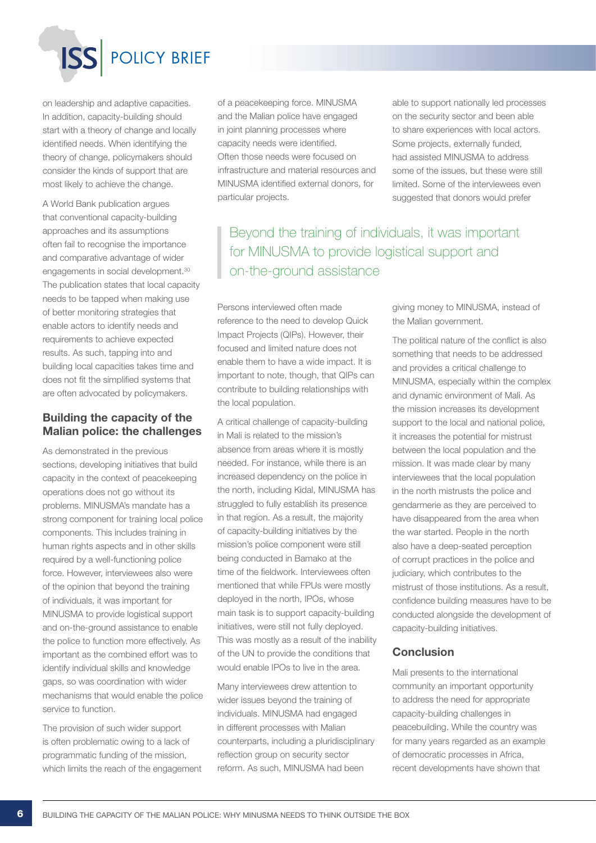

on leadership and adaptive capacities. In addition, capacity-building should start with a theory of change and locally identified needs. When identifying the theory of change, policymakers should consider the kinds of support that are most likely to achieve the change.

A World Bank publication argues that conventional capacity-building approaches and its assumptions often fail to recognise the importance and comparative advantage of wider engagements in social development.<sup>30</sup> The publication states that local capacity needs to be tapped when making use of better monitoring strategies that enable actors to identify needs and requirements to achieve expected results. As such, tapping into and building local capacities takes time and does not fit the simplified systems that are often advocated by policymakers.

## Building the capacity of the Malian police: the challenges

As demonstrated in the previous sections, developing initiatives that build capacity in the context of peacekeeping operations does not go without its problems. MINUSMA's mandate has a strong component for training local police components. This includes training in human rights aspects and in other skills required by a well-functioning police force. However, interviewees also were of the opinion that beyond the training of individuals, it was important for MINUSMA to provide logistical support and on-the-ground assistance to enable the police to function more effectively. As important as the combined effort was to identify individual skills and knowledge gaps, so was coordination with wider mechanisms that would enable the police service to function.

The provision of such wider support is often problematic owing to a lack of programmatic funding of the mission, which limits the reach of the engagement of a peacekeeping force. MINUSMA and the Malian police have engaged in joint planning processes where capacity needs were identified. Often those needs were focused on infrastructure and material resources and MINUSMA identified external donors, for particular projects.

able to support nationally led processes on the security sector and been able to share experiences with local actors. Some projects, externally funded, had assisted MINUSMA to address some of the issues, but these were still limited. Some of the interviewees even suggested that donors would prefer

Beyond the training of individuals, it was important for MINUSMA to provide logistical support and on-the-ground assistance

Persons interviewed often made reference to the need to develop Quick Impact Projects (QIPs). However, their focused and limited nature does not enable them to have a wide impact. It is important to note, though, that QIPs can contribute to building relationships with the local population.

A critical challenge of capacity-building in Mali is related to the mission's absence from areas where it is mostly needed. For instance, while there is an increased dependency on the police in the north, including Kidal, MINUSMA has struggled to fully establish its presence in that region. As a result, the majority of capacity-building initiatives by the mission's police component were still being conducted in Bamako at the time of the fieldwork. Interviewees often mentioned that while FPUs were mostly deployed in the north, IPOs, whose main task is to support capacity-building initiatives, were still not fully deployed. This was mostly as a result of the inability of the UN to provide the conditions that would enable IPOs to live in the area.

Many interviewees drew attention to wider issues beyond the training of individuals. MINUSMA had engaged in different processes with Malian counterparts, including a pluridisciplinary reflection group on security sector reform. As such, MINUSMA had been

giving money to MINUSMA, instead of the Malian government.

The political nature of the conflict is also something that needs to be addressed and provides a critical challenge to MINUSMA, especially within the complex and dynamic environment of Mali. As the mission increases its development support to the local and national police, it increases the potential for mistrust between the local population and the mission. It was made clear by many interviewees that the local population in the north mistrusts the police and gendarmerie as they are perceived to have disappeared from the area when the war started. People in the north also have a deep-seated perception of corrupt practices in the police and judiciary, which contributes to the mistrust of those institutions. As a result, confidence building measures have to be conducted alongside the development of capacity-building initiatives.

## **Conclusion**

Mali presents to the international community an important opportunity to address the need for appropriate capacity-building challenges in peacebuilding. While the country was for many years regarded as an example of democratic processes in Africa, recent developments have shown that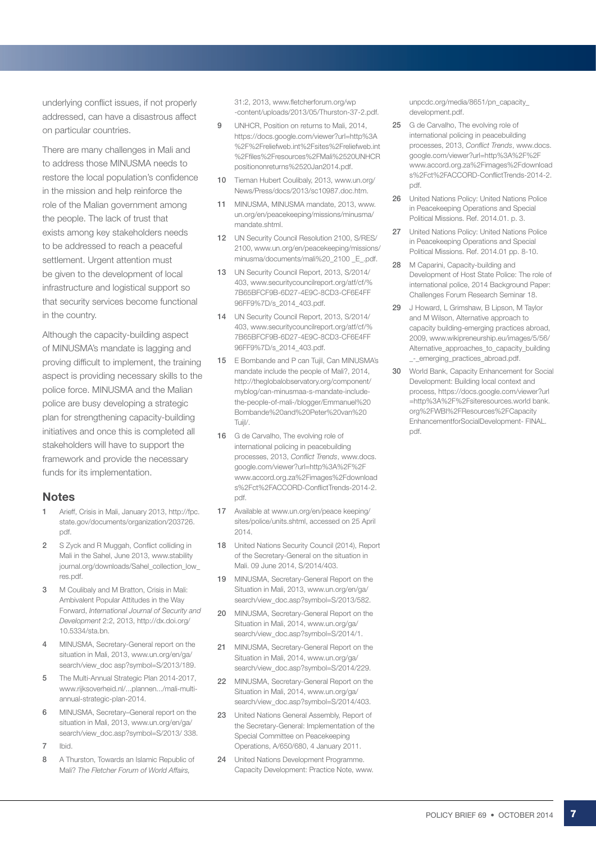underlying conflict issues, if not properly addressed, can have a disastrous affect on particular countries.

There are many challenges in Mali and to address those MINUSMA needs to restore the local population's confidence in the mission and help reinforce the role of the Malian government among the people. The lack of trust that exists among key stakeholders needs to be addressed to reach a peaceful settlement. Urgent attention must be given to the development of local infrastructure and logistical support so that security services become functional in the country.

Although the capacity-building aspect of MINUSMA's mandate is lagging and proving difficult to implement, the training aspect is providing necessary skills to the police force. MINUSMA and the Malian police are busy developing a strategic plan for strengthening capacity-building initiatives and once this is completed all stakeholders will have to support the framework and provide the necessary funds for its implementation.

## **Notes**

- Arieff, Crisis in Mali, January 2013, http://fpc. state.gov/documents/organization/203726. pdf.
- 2 S Zyck and R Muggah, Conflict colliding in Mali in the Sahel, June 2013, www.stability journal.org/downloads/Sahel\_collection\_low\_ res.pdf.
- 3 M Coulibaly and M Bratton, Crisis in Mali: Ambivalent Popular Attitudes in the Way Forward, *International Journal of Security and Development* 2:2, 2013, http://dx.doi.org/ 10.5334/sta.bn.
- 4 MINUSMA, Secretary-General report on the situation in Mali, 2013, www.un.org/en/ga/ search/view\_doc asp?symbol=S/2013/189.
- 5 The Multi-Annual Strategic Plan 2014-2017. www.rijksoverheid.nl/...plannen.../mali-multiannual-strategic-plan-2014.
- 6 MINUSMA, Secretary–General report on the situation in Mali, 2013, www.un.org/en/ga/ search/view\_doc.asp?symbol=S/2013/ 338.
- 7 Ibid.
- 8 A Thurston, Towards an Islamic Republic of Mali? *The Fletcher Forum of World Affairs,*

31:2, 2013, www.fletcherforum.org/wp -content/uploads/2013/05/Thurston-37-2.pdf.

- 9 UNHCR, Position on returns to Mali, 2014, https://docs.google.com/viewer?url=http%3A %2F%2Freliefweb.int%2Fsites%2Freliefweb.int %2Ffiles%2Fresources%2FMali%2520UNHCR positiononreturns%2520Jan2014.pdf.
- 10 Tieman Hubert Coulibaly, 2013, www.un.org/ News/Press/docs/2013/sc10987.doc.htm.
- 11 MINUSMA, MINUSMA mandate, 2013, www. un.org/en/peacekeeping/missions/minusma/ mandate.shtml.
- 12 UN Security Council Resolution 2100, S/RES/ 2100, www.un.org/en/peacekeeping/missions/ minusma/documents/mali%20\_2100 \_E\_.pdf.
- 13 UN Security Council Report, 2013, S/2014/ 403, www.securitycouncilreport.org/atf/cf/% 7B65BFCF9B-6D27-4E9C-8CD3-CF6E4FF 96FF9%7D/s\_2014\_403.pdf.
- 14 UN Security Council Report, 2013, S/2014/ 403, www.securitycouncilreport.org/atf/cf/% 7B65BFCF9B-6D27-4E9C-8CD3-CF6E4FF 96FF9%7D/s\_2014\_403.pdf.
- 15 E Bombande and P can Tujil, Can MINUSMA's mandate include the people of Mali?, 2014, http://theglobalobservatory.org/component/ myblog/can-minusmaa-s-mandate-includethe-people-of-mali-/blogger/Emmanuel%20 Bombande%20and%20Peter%20van%20 Tuijl/.
- 16 G de Carvalho, The evolving role of international policing in peacebuilding processes, 2013, *Conflict Trends*, www.docs. google.com/viewer?url=http%3A%2F%2F www.accord.org.za%2Fimages%2Fdownload s%2Fct%2FACCORD-ConflictTrends-2014-2. pdf.
- 17 Available at www.un.org/en/peace keeping/ sites/police/units.shtml, accessed on 25 April 2014.
- 18 United Nations Security Council (2014), Report of the Secretary-General on the situation in Mali. 09 June 2014, S/2014/403.
- 19 MINUSMA, Secretary-General Report on the Situation in Mali, 2013, www.un.org/en/ga/ search/view\_doc.asp?symbol=S/2013/582.
- 20 MINUSMA, Secretary-General Report on the Situation in Mali, 2014, www.un.org/ga/ search/view\_doc.asp?symbol=S/2014/1.
- 21 MINUSMA, Secretary-General Report on the Situation in Mali, 2014, www.un.org/ga/ search/view\_doc.asp?symbol=S/2014/229.
- 22 MINUSMA, Secretary-General Report on the Situation in Mali, 2014, www.un.org/ga/ search/view\_doc.asp?symbol=S/2014/403.
- 23 United Nations General Assembly, Report of the Secretary-General: Implementation of the Special Committee on Peacekeeping Operations, A/650/680, 4 January 2011.
- 24 United Nations Development Programme. Capacity Development: Practice Note, www.

unpcdc.org/media/8651/pn\_capacity\_ development.pdf.

- 25 G de Carvalho, The evolving role of international policing in peacebuilding processes, 2013, *Conflict Trends*, www.docs. google.com/viewer?url=http%3A%2F%2F www.accord.org.za%2Fimages%2Fdownload s%2Fct%2FACCORD-ConflictTrends-2014-2. pdf.
- 26 United Nations Policy: United Nations Police in Peacekeeping Operations and Special Political Missions. Ref. 2014.01. p. 3.
- 27 United Nations Policy: United Nations Police in Peacekeeping Operations and Special Political Missions. Ref. 2014.01 pp. 8-10.
- 28 M Caparini, Capacity-building and Development of Host State Police: The role of international police, 2014 Background Paper: Challenges Forum Research Seminar 18.
- 29 J Howard, L Grimshaw, B Lipson, M Taylor and M Wilson, Alternative approach to capacity building-emerging practices abroad, 2009, www.wikipreneurship.eu/images/5/56/ Alternative\_approaches\_to\_capacity\_building \_-\_emerging\_practices\_abroad.pdf.
- 30 World Bank, Capacity Enhancement for Social Development: Building local context and process, https://docs.google.com/viewer?url =http%3A%2F%2Fsiteresources.world bank. org%2FWBI%2FResources%2FCapacity EnhancementforSocialDevelopment- FINAL. pdf.